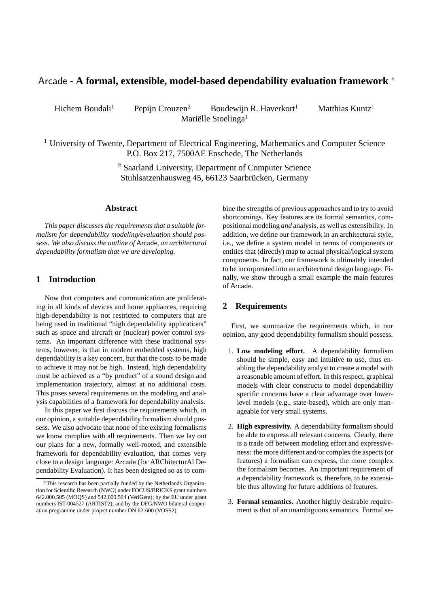# Arcade **- A formal, extensible, model-based dependability evaluation framework** <sup>∗</sup>

Hichem Boudali<sup>1</sup> Pepijn Crouzen<sup>2</sup> Boudewijn R. Haverkort<sup>1</sup> Matthias Kuntz<sup>1</sup> Mariëlle Stoelinga<sup>1</sup>

<sup>1</sup> University of Twente, Department of Electrical Engineering, Mathematics and Computer Science P.O. Box 217, 7500AE Enschede, The Netherlands

> <sup>2</sup> Saarland University, Department of Computer Science Stuhlsatzenhausweg 45, 66123 Saarbrücken, Germany

## **Abstract**

*This paper discusses the requirements that a suitable formalism for dependability modeling/evaluation should possess. We also discuss the outline of* Arcade*, an architectural dependability formalism that we are developing.*

## **1 Introduction**

Now that computers and communication are proliferating in all kinds of devices and home appliances, requiring high-dependability is not restricted to computers that are being used in traditional "high dependability applications" such as space and aircraft or (nuclear) power control systems. An important difference with these traditional systems, however, is that in modern embedded systems, high dependability is a key concern, but that the costs to be made to achieve it may not be high. Instead, high dependability must be achieved as a "by product" of a sound design and implementation trajectory, almost at no additional costs. This poses several requirements on the modeling and analysis capabilities of a framework for dependability analysis.

In this paper we first discuss the requirements which, in our opinion, a suitable dependability formalism should possess. We also advocate that none of the existing formalisms we know complies with all requirements. Then we lay out our plans for a new, formally well-rooted, and extensible framework for dependability evaluation, that comes very close to a design language: Arcade (for ARChitecturAl Dependability Evaluation). It has been designed so as to combine the strengths of previous approaches and to try to avoid shortcomings. Key features are its formal semantics, compositional modeling *and* analysis, as well as extensibility. In addition, we define our framework in an architectural style, i.e., we define a system model in terms of components or entities that (directly) map to actual physical/logical system components. In fact, our framework is ultimately intended to be incorporated into an architectural design language. Finally, we show through a small example the main features of Arcade.

## **2 Requirements**

First, we summarize the requirements which, in our opinion, any good dependability formalism should possess.

- 1. **Low modeling effort.** A dependability formalism should be simple, easy and intuitive to use, thus enabling the dependability analyst to create a model with a reasonable amount of effort. In this respect, graphical models with clear constructs to model dependability specific concerns have a clear advantage over lowerlevel models (e.g., state-based), which are only manageable for very small systems.
- 2. **High expressivity.** A dependability formalism should be able to express all relevant concerns. Clearly, there is a trade off between modeling effort and expressiveness: the more different and/or complex the aspects (or features) a formalism can express, the more complex the formalism becomes. An important requirement of a dependability framework is, therefore, to be extensible thus allowing for future additions of features.
- 3. **Formal semantics.** Another highly desirable requirement is that of an unambiguous semantics. Formal se-

<sup>∗</sup>This research has been partially funded by the Netherlands Organization for Scientific Research (NWO) under FOCUS/BRICKS grant numbers 642.000.505 (MOQS) and 542.000.504 (VeriGem); by the EU under grant numbers IST-004527 (ARTIST2); and by the DFG/NWO bilateral cooperation programme under project number DN 62-600 (VOSS2).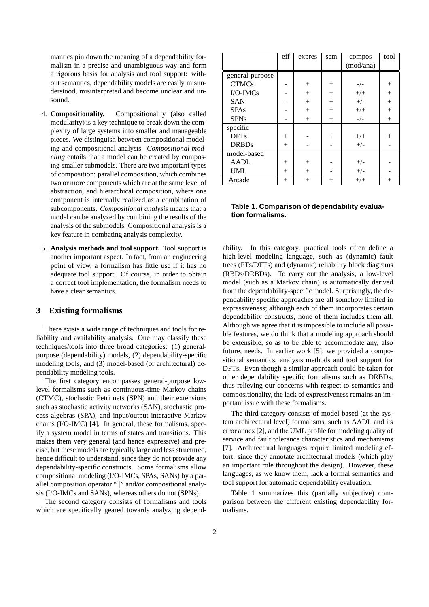mantics pin down the meaning of a dependability formalism in a precise and unambiguous way and form a rigorous basis for analysis and tool support: without semantics, dependability models are easily misunderstood, misinterpreted and become unclear and unsound.

- 4. **Compositionality.** Compositionality (also called modularity) is a key technique to break down the complexity of large systems into smaller and manageable pieces. We distinguish between compositional modeling and compositional analysis. *Compositional modeling* entails that a model can be created by composing smaller submodels. There are two important types of composition: parallel composition, which combines two or more components which are at the same level of abstraction, and hierarchical composition, where one component is internally realized as a combination of subcomponents. *Compositional analysis* means that a model can be analyzed by combining the results of the analysis of the submodels. Compositional analysis is a key feature in combating analysis complexity.
- 5. **Analysis methods and tool support.** Tool support is another important aspect. In fact, from an engineering point of view, a formalism has little use if it has no adequate tool support. Of course, in order to obtain a correct tool implementation, the formalism needs to have a clear semantics.

## **3 Existing formalisms**

There exists a wide range of techniques and tools for reliability and availability analysis. One may classify these techniques/tools into three broad categories: (1) generalpurpose (dependability) models, (2) dependability-specific modeling tools, and (3) model-based (or architectural) dependability modeling tools.

The first category encompasses general-purpose lowlevel formalisms such as continuous-time Markov chains (CTMC), stochastic Petri nets (SPN) and their extensions such as stochastic activity networks (SAN), stochastic process algebras (SPA), and input/output interactive Markov chains (I/O-IMC) [4]. In general, these formalisms, specify a system model in terms of states and transitions. This makes them very general (and hence expressive) and precise, but these models are typically large and less structured, hence difficult to understand, since they do not provide any dependability-specific constructs. Some formalisms allow compositional modeling (I/O-IMCs, SPAs, SANs) by a parallel composition operator "||" and/or compositional analysis (I/O-IMCs and SANs), whereas others do not (SPNs).

The second category consists of formalisms and tools which are specifically geared towards analyzing depend-

|                 | eff    | expres | sem    | compos    | $to$ <sub><math>\overline{ol}</math></sub> |
|-----------------|--------|--------|--------|-----------|--------------------------------------------|
|                 |        |        |        | (mod/ana) |                                            |
| general-purpose |        |        |        |           |                                            |
| <b>CTMCs</b>    |        | $^{+}$ | $^{+}$ | $-/-$     | $^{+}$                                     |
| $I/O$ -IMCs     |        | $^{+}$ | $+$    | $+/+$     | $+$                                        |
| <b>SAN</b>      |        | $^{+}$ | $^{+}$ | $+/-$     | $+$                                        |
| <b>SPAs</b>     |        | $+$    | $^{+}$ | $+/+$     | $^{+}$                                     |
| <b>SPNs</b>     |        | $+$    | $+$    | $_-/-$    | $+$                                        |
| specific        |        |        |        |           |                                            |
| <b>DFTs</b>     | $+$    |        | $^{+}$ | $+/+$     | $^{+}$                                     |
| <b>DRBDs</b>    | $+$    |        |        | $+/-$     |                                            |
| model-based     |        |        |        |           |                                            |
| AADL            | $^{+}$ | $^{+}$ |        | $+/-$     |                                            |
| <b>UML</b>      | $^{+}$ | $+$    |        | $+/-$     |                                            |
| Arcade          | $^{+}$ | $+$    | $^{+}$ | $+/+$     | $^{+}$                                     |

#### **Table 1. Comparison of dependability evaluation formalisms.**

ability. In this category, practical tools often define a high-level modeling language, such as (dynamic) fault trees (FTs/DFTs) and (dynamic) reliability block diagrams (RBDs/DRBDs). To carry out the analysis, a low-level model (such as a Markov chain) is automatically derived from the dependability-specific model. Surprisingly, the dependability specific approaches are all somehow limited in expressiveness; although each of them incorporates certain dependability constructs, none of them includes them all. Although we agree that it is impossible to include all possible features, we do think that a modeling approach should be extensible, so as to be able to accommodate any, also future, needs. In earlier work [5], we provided a compositional semantics, analysis methods and tool support for DFTs. Even though a similar approach could be taken for other dependability specific formalisms such as DRBDs, thus relieving our concerns with respect to semantics and compositionality, the lack of expressiveness remains an important issue with these formalisms.

The third category consists of model-based (at the system architectural level) formalisms, such as AADL and its error annex [2], and the UML profile for modeling quality of service and fault tolerance characteristics and mechanisms [7]. Architectural languages require limited modeling effort, since they annotate architectural models (which play an important role throughout the design). However, these languages, as we know them, lack a formal semantics and tool support for automatic dependability evaluation.

Table 1 summarizes this (partially subjective) comparison between the different existing dependability formalisms.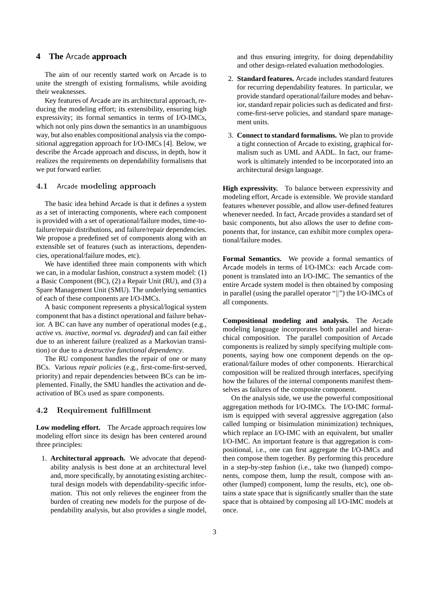## **4 The** Arcade **approach**

The aim of our recently started work on Arcade is to unite the strength of existing formalisms, while avoiding their weaknesses.

Key features of Arcade are its architectural approach, reducing the modeling effort; its extensibility, ensuring high expressivity; its formal semantics in terms of I/O-IMCs, which not only pins down the semantics in an unambiguous way, but also enables compositional analysis via the compositional aggregation approach for I/O-IMCs [4]. Below, we describe the Arcade approach and discuss, in depth, how it realizes the requirements on dependability formalisms that we put forward earlier.

## 4.1 Arcade modeling approach

The basic idea behind Arcade is that it defines a system as a set of interacting components, where each component is provided with a set of operational/failure modes, time-tofailure/repair distributions, and failure/repair dependencies. We propose a predefined set of components along with an extensible set of features (such as interactions, dependencies, operational/failure modes, etc).

We have identified three main components with which we can, in a modular fashion, construct a system model: (1) a Basic Component (BC), (2) a Repair Unit (RU), and (3) a Spare Management Unit (SMU). The underlying semantics of each of these components are I/O-IMCs.

A basic component represents a physical/logical system component that has a distinct operational and failure behavior. A BC can have any number of operational modes (e.g., *active vs. inactive*, *normal vs. degraded*) and can fail either due to an inherent failure (realized as a Markovian transition) or due to a *destructive functional dependency*.

The RU component handles the repair of one or many BCs. Various *repair policies* (e.g., first-come-first-served, priority) and repair dependencies between BCs can be implemented. Finally, the SMU handles the activation and deactivation of BCs used as spare components.

#### 4.2 Requirement fulfillment

**Low modeling effort.** The Arcade approach requires low modeling effort since its design has been centered around three principles:

1. **Architectural approach.** We advocate that dependability analysis is best done at an architectural level and, more specifically, by annotating existing architectural design models with dependability-specific information. This not only relieves the engineer from the burden of creating new models for the purpose of dependability analysis, but also provides a single model, and thus ensuring integrity, for doing dependability and other design-related evaluation methodologies.

- 2. **Standard features.** Arcade includes standard features for recurring dependability features. In particular, we provide standard operational/failure modes and behavior, standard repair policies such as dedicated and firstcome-first-serve policies, and standard spare management units.
- 3. **Connect to standard formalisms.** We plan to provide a tight connection of Arcade to existing, graphical formalism such as UML and AADL. In fact, our framework is ultimately intended to be incorporated into an architectural design language.

**High expressivity.** To balance between expressivity and modeling effort, Arcade is extensible. We provide standard features whenever possible, and allow user-defined features whenever needed. In fact, Arcade provides a standard set of basic components, but also allows the user to define components that, for instance, can exhibit more complex operational/failure modes.

**Formal Semantics.** We provide a formal semantics of Arcade models in terms of I/O-IMCs: each Arcade component is translated into an I/O-IMC. The semantics of the entire Arcade system model is then obtained by composing in parallel (using the parallel operator " $\parallel$ ") the I/O-IMCs of all components.

**Compositional modeling and analysis.** The Arcade modeling language incorporates both parallel and hierarchical composition. The parallel composition of Arcade components is realized by simply specifying multiple components, saying how one component depends on the operational/failure modes of other components. Hierarchical composition will be realized through interfaces, specifying how the failures of the internal components manifest themselves as failures of the composite component.

On the analysis side, we use the powerful compositional aggregation methods for I/O-IMCs. The I/O-IMC formalism is equipped with several aggressive aggregation (also called lumping or bisimulation minimization) techniques, which replace an I/O-IMC with an equivalent, but smaller I/O-IMC. An important feature is that aggregation is compositional, i.e., one can first aggregate the I/O-IMCs and then compose them together. By performing this procedure in a step-by-step fashion (i.e., take two (lumped) components, compose them, lump the result, compose with another (lumped) component, lump the results, etc), one obtains a state space that is significantly smaller than the state space that is obtained by composing all I/O-IMC models at once.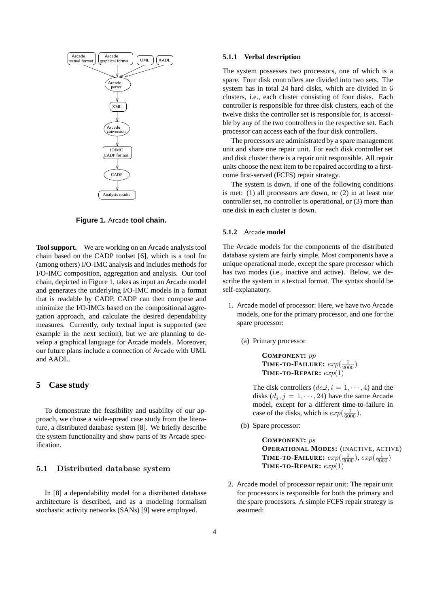

**Figure 1.** Arcade **tool chain.**

**Tool support.** We are working on an Arcade analysis tool chain based on the CADP toolset [6], which is a tool for (among others) I/O-IMC analysis and includes methods for I/O-IMC composition, aggregation and analysis. Our tool chain, depicted in Figure 1, takes as input an Arcade model and generates the underlying I/O-IMC models in a format that is readable by CADP. CADP can then compose and minimize the I/O-IMCs based on the compositional aggregation approach, and calculate the desired dependability measures. Currently, only textual input is supported (see example in the next section), but we are planning to develop a graphical language for Arcade models. Moreover, our future plans include a connection of Arcade with UML and AADL.

## **5 Case study**

To demonstrate the feasibility and usability of our approach, we chose a wide-spread case study from the literature, a distributed database system [8]. We briefly describe the system functionality and show parts of its Arcade specification.

#### 5.1 Distributed database system

In [8] a dependability model for a distributed database architecture is described, and as a modeling formalism stochastic activity networks (SANs) [9] were employed.

#### **5.1.1 Verbal description**

The system possesses two processors, one of which is a spare. Four disk controllers are divided into two sets. The system has in total 24 hard disks, which are divided in 6 clusters, i.e., each cluster consisting of four disks. Each controller is responsible for three disk clusters, each of the twelve disks the controller set is responsible for, is accessible by any of the two controllers in the respective set. Each processor can access each of the four disk controllers.

The processors are administrated by a spare management unit and share one repair unit. For each disk controller set and disk cluster there is a repair unit responsible. All repair units choose the next item to be repaired according to a firstcome first-served (FCFS) repair strategy.

The system is down, if one of the following conditions is met: (1) all processors are down, or (2) in at least one controller set, no controller is operational, or (3) more than one disk in each cluster is down.

#### **5.1.2** Arcade **model**

The Arcade models for the components of the distributed database system are fairly simple. Most components have a unique operational mode, except the spare processor which has two modes (i.e., inactive and active). Below, we describe the system in a textual format. The syntax should be self-explanatory.

- 1. Arcade model of processor: Here, we have two Arcade models, one for the primary processor, and one for the spare processor:
	- (a) Primary processor

**COMPONENT:** pp **TIME-TO-FAILURE:**  $exp(\frac{1}{2000})$ **TIME-TO-REPAIR:**  $exp(1)$ 

The disk controllers  $(dc \, i, i = 1, \dots, 4)$  and the disks  $(d_j, j = 1, \dots, 24)$  have the same Arcade model, except for a different time-to-failure in case of the disks, which is  $exp(\frac{1}{6000})$ .

(b) Spare processor:

**COMPONENT:** ps **OPERATIONAL MODES:** (INACTIVE, ACTIVE) **TIME-TO-FAILURE:**  $exp(\frac{1}{2000})$ ,  $exp(\frac{1}{2000})$ **TIME-TO-REPAIR:**  $exp(1)$ 

2. Arcade model of processor repair unit: The repair unit for processors is responsible for both the primary and the spare processors. A simple FCFS repair strategy is assumed: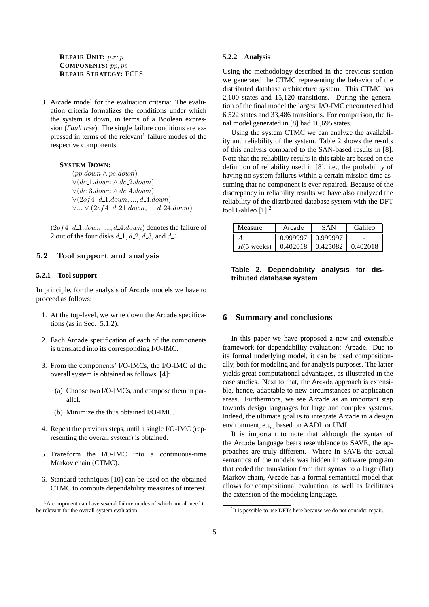## **REPAIR UNIT:** p.rep **COMPONENTS:** pp, ps **REPAIR STRATEGY:** FCFS

3. Arcade model for the evaluation criteria: The evaluation criteria formalizes the conditions under which the system is down, in terms of a Boolean expression (*Fault tree*). The single failure conditions are expressed in terms of the relevant<sup>1</sup> failure modes of the respective components.

#### **SYSTEM DOWN:**

(pp.down ∧ ps.down)  $\vee$ (dc\_1.down  $\wedge$  dc\_2.down)  $\vee$ (dc 3.down  $\wedge$  dc 4.down)  $∨(2of4 d_1.down, ..., d_4.down)$ ∨... ∨ (2of4 d 21.down, ..., d 24.down)

 $(2of4, d_1.down, ..., d_4.down)$  denotes the failure of 2 out of the four disks  $d_1$ ,  $d_2$ ,  $d_3$ , and  $d_4$ .

## 5.2 Tool support and analysis

### **5.2.1 Tool support**

In principle, for the analysis of Arcade models we have to proceed as follows:

- 1. At the top-level, we write down the Arcade specifications (as in Sec. 5.1.2).
- 2. Each Arcade specification of each of the components is translated into its corresponding I/O-IMC.
- 3. From the components' I/O-IMCs, the I/O-IMC of the overall system is obtained as follows [4]:
	- (a) Choose two I/O-IMCs, and compose them in parallel.
	- (b) Minimize the thus obtained I/O-IMC.
- 4. Repeat the previous steps, until a single I/O-IMC (representing the overall system) is obtained.
- 5. Transform the I/O-IMC into a continuous-time Markov chain (CTMC).
- 6. Standard techniques [10] can be used on the obtained CTMC to compute dependability measures of interest.

#### **5.2.2 Analysis**

Using the methodology described in the previous section we generated the CTMC representing the behavior of the distributed database architecture system. This CTMC has 2,100 states and 15,120 transitions. During the generation of the final model the largest I/O-IMC encountered had 6,522 states and 33,486 transitions. For comparison, the final model generated in [8] had 16,695 states.

Using the system CTMC we can analyze the availability and reliability of the system. Table 2 shows the results of this analysis compared to the SAN-based results in [8]. Note that the reliability results in this table are based on the definition of reliability used in [8], i.e., the probability of having no system failures within a certain mission time assuming that no component is ever repaired. Because of the discrepancy in reliability results we have also analyzed the reliability of the distributed database system with the DFT tool Galileo [1].<sup>2</sup>

| Measure              | Arcade               | <b>SAN</b>      | Galileo  |
|----------------------|----------------------|-----------------|----------|
|                      | 0.999997             | 0.999997        |          |
| $R(5 \text{ weeks})$ | $\mid 0.402018 \mid$ | $\mid$ 0.425082 | 0.402018 |

## **Table 2. Dependability analysis for distributed database system**

### **6 Summary and conclusions**

In this paper we have proposed a new and extensible framework for dependability evaluation: Arcade. Due to its formal underlying model, it can be used compositionally, both for modeling and for analysis purposes. The latter yields great computational advantages, as illustrated in the case studies. Next to that, the Arcade approach is extensible, hence, adaptable to new circumstances or application areas. Furthermore, we see Arcade as an important step towards design languages for large and complex systems. Indeed, the ultimate goal is to integrate Arcade in a design environment, e.g., based on AADL or UML.

It is important to note that although the syntax of the Arcade language bears resemblance to SAVE, the approaches are truly different. Where in SAVE the actual semantics of the models was hidden in software program that coded the translation from that syntax to a large (flat) Markov chain, Arcade has a formal semantical model that allows for compositional evaluation, as well as facilitates the extension of the modeling language.

<sup>&</sup>lt;sup>1</sup>A component can have several failure modes of which not all need to be relevant for the overall system evaluation.

 $2$ It is possible to use DFTs here because we do not consider repair.